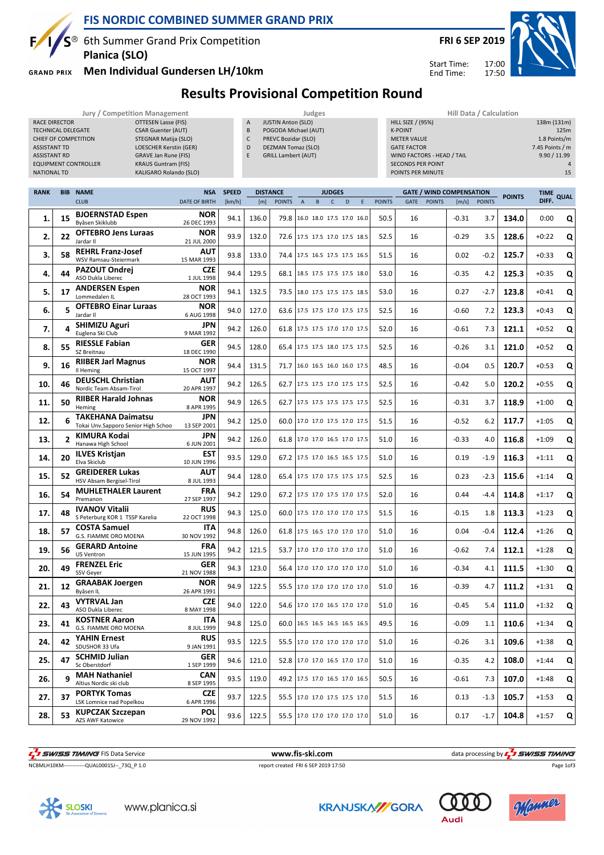

EQUIPMENT CONTROLLER

RACE DIRECTOR **OTTESEN Lasse (FIS)** TECHNICAL DELEGATE CSAR Guenter (AUT) CHIEF OF COMPETITION STEGNAR Matija (SLO) ASSISTANT TD LOESCHER Kerstin (GER) ASSISTANT RD GRAVE Jan Rune (FIS)

### **FIS NORDIC COMBINED SUMMER GRAND PRIX**

 $S^{\circledast}$  6th Summer Grand Prix Competition **Planica (SLO)**

**GRAND PRIX** 

### **Men Individual Gundersen LH/10km**

**FRI 6 SEP 2019**

Start Time: End Time:

17:00 17:50

## **Results Provisional Competition Round**

**Jury / Competition Management Judges Hill Data / Calculation**

A JUSTIN Anton (SLO) B POGODA Michael (AUT) C PREVC Bozidar (SLO) D DEZMAN Tomaz (SLO) E GRILL Lambert (AUT)

| <b>NATIONAL TD</b> |                          | KALIGARO Rolando (SLO)                                          |                                    | POINTS PER MINUTE |                                                                     |               |              |   |                                 |   |               |      |               |         |               |               | 15      |      |
|--------------------|--------------------------|-----------------------------------------------------------------|------------------------------------|-------------------|---------------------------------------------------------------------|---------------|--------------|---|---------------------------------|---|---------------|------|---------------|---------|---------------|---------------|---------|------|
| <b>RANK</b>        | <b>BIB</b>               | <b>NAME</b>                                                     | <b>SPEED</b>                       |                   | <b>DISTANCE</b><br><b>JUDGES</b><br><b>GATE / WIND COMPENSATION</b> |               |              |   |                                 |   |               |      |               |         |               | <b>TIME</b>   |         |      |
|                    |                          | <b>CLUB</b>                                                     | <b>NSA</b><br><b>DATE OF BIRTH</b> | [km/h]            | [m]                                                                 | <b>POINTS</b> | $\mathsf{A}$ | B | $\mathsf{C}$<br>D               | E | <b>POINTS</b> | GATE | <b>POINTS</b> | [m/s]   | <b>POINTS</b> | <b>POINTS</b> | DIFF.   | QUAI |
| 1.                 | 15                       | <b>BJOERNSTAD Espen</b><br>Byåsen Skiklubb                      | NOR<br>26 DEC 1993                 | 94.1              | 136.0                                                               |               |              |   | 79.8 16.0 18.0 17.5 17.0 16.0   |   | 50.5          | 16   |               | $-0.31$ | 3.7           | 134.0         | 0:00    | Q    |
| 2.                 | 22                       | <b>OFTEBRO Jens Luraas</b><br>Jardar II                         | <b>NOR</b><br>21 JUL 2000          | 93.9              | 132.0                                                               |               |              |   | 72.6 17.5 17.5 17.0 17.5 18.5   |   | 52.5          | 16   |               | $-0.29$ | 3.5           | 128.6         | $+0:22$ | Q    |
| 3.                 | 58                       | <b>REHRL Franz-Josef</b><br>WSV Ramsau-Steiermark               | AUT<br>15 MAR 1993                 | 93.8              | 133.0                                                               |               |              |   | 74.4 17.5 16.5 17.5 17.5 16.5   |   | 51.5          | 16   |               | 0.02    | $-0.2$        | 125.7         | $+0:33$ | Q    |
| 4.                 | 44                       | PAZOUT Ondrei<br>ASO Dukla Liberec                              | <b>CZE</b><br>1 JUL 1998           | 94.4              | 129.5                                                               |               |              |   | 68.1 18.5 17.5 17.5 17.5 18.0   |   | 53.0          | 16   |               | $-0.35$ | 4.2           | 125.3         | $+0:35$ | Q    |
| 5.                 | 17                       | <b>ANDERSEN Espen</b><br>Lommedalen IL                          | <b>NOR</b><br>28 OCT 1993          | 94.1              | 132.5                                                               |               |              |   | 73.5 18.0 17.5 17.5 17.5 18.5   |   | 53.0          | 16   |               | 0.27    | -2.7          | 123.8         | $+0:41$ | Q    |
| 6.                 | 5                        | <b>OFTEBRO Einar Luraas</b><br>Jardar II                        | <b>NOR</b><br>6 AUG 1998           | 94.0              | 127.0                                                               |               |              |   | 63.6 17.5 17.5 17.0 17.5 17.5   |   | 52.5          | 16   |               | $-0.60$ | 7.2           | 123.3         | $+0:43$ | Q    |
| 7.                 | Δ                        | <b>SHIMIZU Aguri</b><br>Euglena Ski Club                        | JPN<br>9 MAR 1992                  | 94.2              | 126.0                                                               |               |              |   | 61.8 17.5 17.5 17.0 17.0 17.5   |   | 52.0          | 16   |               | $-0.61$ | 7.3           | 121.1         | $+0:52$ | Q    |
| 8.                 | 55                       | <b>RIESSLE Fabian</b><br>SZ Breitnau                            | <b>GER</b><br>18 DEC 1990          | 94.5              | 128.0                                                               |               |              |   | 65.4 17.5 17.5 18.0 17.5 17.5   |   | 52.5          | 16   |               | $-0.26$ | 3.1           | 121.0         | $+0:52$ | Q    |
| 9.                 | 16                       | <b>RIIBER Jarl Magnus</b><br>Il Heming                          | NOR<br>15 OCT 1997                 | 94.4              | 131.5                                                               |               |              |   | 71.7   16.0 16.5 16.0 16.0 17.5 |   | 48.5          | 16   |               | $-0.04$ | 0.5           | 120.7         | $+0:53$ | Q    |
| 10.                | 46                       | <b>DEUSCHL Christian</b><br>Nordic Team Absam-Tirol             | AUT<br>20 APR 1997                 | 94.2              | 126.5                                                               |               |              |   | 62.7 17.5 17.5 17.0 17.5 17.5   |   | 52.5          | 16   |               | $-0.42$ | 5.0           | 120.2         | $+0:55$ | Q    |
| 11.                | 50                       | <b>RIIBER Harald Johnas</b><br>Heming                           | <b>NOR</b><br>8 APR 1995           | 94.9              | 126.5                                                               |               |              |   | 62.7 17.5 17.5 17.5 17.5 17.5   |   | 52.5          | 16   |               | $-0.31$ | 3.7           | 118.9         | $+1:00$ | Q    |
| 12.                | 6                        | <b>TAKEHANA Daimatsu</b><br>Tokai Unv.Sapporo Senior High Schoo | JPN<br>13 SEP 2001                 | 94.2              | 125.0                                                               |               |              |   | 60.0 17.0 17.0 17.5 17.0 17.5   |   | 51.5          | 16   |               | $-0.52$ | 6.2           | 117.7         | $+1:05$ | Q    |
| 13.                | $\overline{\phantom{a}}$ | KIMURA Kodai<br>Hanawa High School                              | <b>JPN</b><br>6 JUN 2001           | 94.2              | 126.0                                                               |               |              |   | 61.8 17.0 17.0 16.5 17.0 17.5   |   | 51.0          | 16   |               | $-0.33$ | 4.0           | 116.8         | $+1:09$ | Q    |
| 14.                | 20                       | <b>ILVES Kristjan</b><br>Elva Skiclub                           | EST<br>10 JUN 1996                 | 93.5              | 129.0                                                               |               |              |   | 67.2 17.5 17.0 16.5 16.5 17.5   |   | 51.0          | 16   |               | 0.19    | $-1.9$        | 116.3         | $+1:11$ | Q    |
| 15.                | 52                       | <b>GREIDERER Lukas</b><br>HSV Absam Bergisel-Tirol              | AUT<br>8 JUL 1993                  | 94.4              | 128.0                                                               |               |              |   | 65.4 17.5 17.0 17.5 17.5 17.5   |   | 52.5          | 16   |               | 0.23    | $-2.3$        | 115.6         | $+1:14$ | Q    |
| 16.                | 54                       | <b>MUHLETHALER Laurent</b><br>Premanon                          | FRA<br>27 SEP 1997                 | 94.2              | 129.0                                                               |               |              |   | 67.2 17.5 17.0 17.5 17.0 17.5   |   | 52.0          | 16   |               | 0.44    | -4.4          | 114.8         | $+1:17$ | Q    |
| 17.                | 48                       | <b>IVANOV Vitalii</b><br>S Peterburg KOR 1 TSSP Karelia         | RUS<br>22 OCT 1998                 | 94.3              | 125.0                                                               |               |              |   | 60.0 17.5 17.0 17.0 17.0 17.5   |   | 51.5          | 16   |               | $-0.15$ | 1.8           | 113.3         | $+1:23$ | Q    |
| 18.                | 57                       | <b>COSTA Samuel</b><br>G.S. FIAMME ORO MOENA                    | ITA<br>30 NOV 1992                 | 94.8              | 126.0                                                               |               |              |   | 61.8 17.5 16.5 17.0 17.0 17.0   |   | 51.0          | 16   |               | 0.04    | $-0.4$        | 112.4         | $+1:26$ | Q    |
| 19.                | 56                       | <b>GERARD Antoine</b><br>US Ventron                             | FRA<br>15 JUN 1995                 | 94.2              | 121.5                                                               |               |              |   | 53.7 17.0 17.0 17.0 17.0 17.0   |   | 51.0          | 16   |               | $-0.62$ | 7.4           | 112.1         | $+1:28$ | Q    |
| 20.                | 49                       | <b>FRENZEL Eric</b><br>SSV Gever                                | <b>GER</b><br>21 NOV 1988          | 94.3              | 123.0                                                               |               |              |   | 56.4 17.0 17.0 17.0 17.0 17.0   |   | 51.0          | 16   |               | $-0.34$ | 4.1           | 111.5         | $+1:30$ | Q    |
| 21.                | 12                       | <b>GRAABAK Joergen</b><br>Byåsen IL                             | <b>NOR</b><br>26 APR 1991          | 94.9              | 122.5                                                               |               |              |   | 55.5 17.0 17.0 17.0 17.0 17.0   |   | 51.0          | 16   |               | $-0.39$ | 4.7           | 111.2         | $+1:31$ | Q    |
| 22.                | 43                       | <b>VYTRVAL Jan</b><br>ASO Dukla Liberec                         | <b>CZE</b><br>8 MAY 1998           | 94.0              | 122.0                                                               |               |              |   | 54.6 17.0 17.0 16.5 17.0 17.0   |   | 51.0          | 16   |               | $-0.45$ | 5.4           | 111.0         | $+1:32$ | Q    |
| 23.                | 41                       | <b>KOSTNER Aaron</b><br>G.S. FIAMME ORO MOENA                   | <b>ITA</b><br>8 JUL 1999           | 94.8              | 125.0                                                               |               |              |   | 60.0 16.5 16.5 16.5 16.5 16.5   |   | 49.5          | 16   |               | $-0.09$ | 1.1           | 110.6         | $+1:34$ | Ω    |
| 24.                | 42                       | <b>YAHIN Ernest</b><br>SDUSHOR 33 Ufa                           | <b>RUS</b><br>9 JAN 1991           | 93.5              | 122.5                                                               |               |              |   | 55.5 17.0 17.0 17.0 17.0 17.0   |   | 51.0          | 16   |               | $-0.26$ | 3.1           | 109.6         | $+1:38$ | Q    |
| 25.                | 47                       | <b>SCHMID Julian</b><br>Sc Oberstdorf                           | <b>GER</b><br>1 SEP 1999           | 94.6              | 121.0                                                               |               |              |   | 52.8 17.0 17.0 16.5 17.0 17.0   |   | 51.0          | 16   |               | $-0.35$ | 4.2           | 108.0         | $+1:44$ | Q    |
| 26.                | 9                        | <b>MAH Nathaniel</b><br>Altius Nordic ski club                  | <b>CAN</b><br>8 SEP 1995           | 93.5              | 119.0                                                               |               |              |   | 49.2 17.5 17.0 16.5 17.0 16.5   |   | 50.5          | 16   |               | $-0.61$ | 7.3           | 107.0         | $+1:48$ | Q    |
| 27.                | 37                       | <b>PORTYK Tomas</b><br>LSK Lomnice nad Popelkou                 | <b>CZE</b><br>6 APR 1996           | 93.7              | 122.5                                                               |               |              |   | 55.5   17.0 17.0 17.5 17.5 17.0 |   | 51.5          | 16   |               | 0.13    | $-1.3$        | 105.7         | $+1:53$ | Q    |
| 28.                | 53                       | <b>KUPCZAK Szczepan</b><br>AZS AWF Katowice                     | <b>POL</b><br>29 NOV 1992          | 93.6              | 122.5                                                               |               |              |   | 55.5 17.0 17.0 17.0 17.0 17.0   |   | 51.0          | 16   |               | 0.17    | $-1.7$        | 104.8         | $+1:57$ | Q    |

THE SUNSER TIMING FIS Data Service **WALL ASSESS TO A SERVICE SCIENCE ASSESS** TO A SUPERFORMATION OF THE SUPERFORMANCE ISLAMS OF THE SUPERFORMANCE ISLAMS OF THE SUPERFORMANCE OF THE SUPERFORMANCE OF THE SUPERFORMANCE OF THE

SLOSKI

Page 1of3



www.planica.si



NCBMLH10KM------------QUAL0001SJ--\_73Q\_P 1.0 report created FRI 6 SEP 2019 17:50







**KRANJSKA//GORA** 







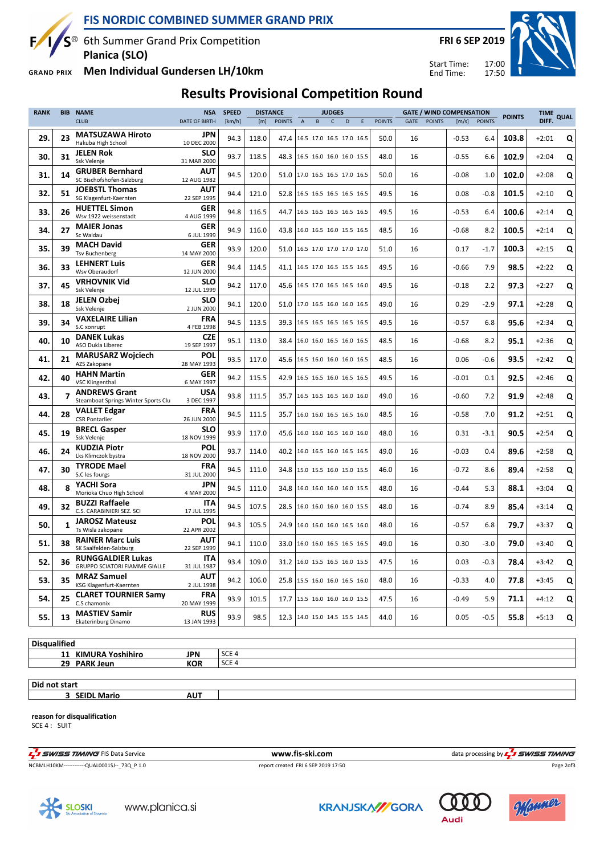

 $S^{\circledast}$  6th Summer Grand Prix Competition **Planica (SLO)**

17:00 17:50 Start Time: End Time:

**FRI 6 SEP 2019**



**GRAND PRIX** 

 $\mathbf{F}$ 

### **Men Individual Gundersen LH/10km**

# **Results Provisional Competition Round**

| <b>RANK</b> | <b>BIB</b> | <b>NAME</b>                                                      | <b>SPEED</b>                           | <b>DISTANCE</b> |       | <b>JUDGES</b> |                          |              |   |   |               | <b>GATE / WIND COMPENSATION</b> |               | <b>POINTS</b> | <b>TIME</b>   | QUAL  |         |   |
|-------------|------------|------------------------------------------------------------------|----------------------------------------|-----------------|-------|---------------|--------------------------|--------------|---|---|---------------|---------------------------------|---------------|---------------|---------------|-------|---------|---|
|             |            | <b>CLUB</b>                                                      | <b>DATE OF BIRTH</b>                   | [km/h]          | [m]   | <b>POINTS</b> | B<br>$\overline{A}$      | $\mathsf{C}$ | D | E | <b>POINTS</b> | GATE                            | <b>POINTS</b> | [m/s]         | <b>POINTS</b> |       | DIFF.   |   |
| 29.         | 23         | <b>MATSUZAWA Hiroto</b><br>Hakuba High School                    | JPN<br>10 DEC 2000                     | 94.3            | 118.0 | 47.4          | 16.5 17.0 16.5 17.0 16.5 |              |   |   | 50.0          | 16                              |               | $-0.53$       | 6.4           | 103.8 | $+2:01$ | Q |
| 30.         | 31         | <b>JELEN Rok</b><br>Ssk Velenie                                  | <b>SLO</b><br>31 MAR 2000              | 93.7            | 118.5 | 48.3          | 16.5 16.0 16.0 16.0 15.5 |              |   |   | 48.0          | 16                              |               | $-0.55$       | 6.6           | 102.9 | $+2:04$ | Q |
| 31.         | 14         | <b>GRUBER Bernhard</b><br>SC Bischofshofen-Salzburg              | AUT<br>12 AUG 1982                     | 94.5            | 120.0 | 51.0          | 17.0 16.5 16.5 17.0 16.5 |              |   |   | 50.0          | 16                              |               | $-0.08$       | $1.0\,$       | 102.0 | $+2:08$ | Q |
| 32.         | 51         | <b>JOEBSTL Thomas</b><br>SG Klagenfurt-Kaernten                  | AUT<br>22 SEP 1995                     | 94.4            | 121.0 | 52.8          | 16.5 16.5 16.5 16.5 16.5 |              |   |   | 49.5          | 16                              |               | 0.08          | $-0.8$        | 101.5 | $+2:10$ | Q |
| 33.         | 26         | <b>HUETTEL Simon</b><br>Wsv 1922 weissenstadt                    | <b>GER</b><br>4 AUG 1999               | 94.8            | 116.5 | 44.7          | 16.5 16.5 16.5 16.5 16.5 |              |   |   | 49.5          | 16                              |               | $-0.53$       | 6.4           | 100.6 | $+2:14$ | Q |
| 34.         | 27         | <b>MAIER Jonas</b><br>Sc Waldau                                  | <b>GER</b><br>6 JUL 1999               | 94.9            | 116.0 | 43.8          | 16.0 16.5 16.0 15.5 16.5 |              |   |   | 48.5          | 16                              |               | $-0.68$       | 8.2           | 100.5 | $+2:14$ | Q |
| 35.         | 39         | <b>MACH David</b><br><b>Tsv Buchenberg</b>                       | GER<br>14 MAY 2000                     | 93.9            | 120.0 | 51.0          | 16.5 17.0 17.0 17.0 17.0 |              |   |   | 51.0          | 16                              |               | 0.17          | $-1.7$        | 100.3 | $+2:15$ | Q |
| 36.         | 33         | <b>LEHNERT Luis</b><br>Wsv Oberaudorf                            | <b>GER</b><br>12 JUN 2000              | 94.4            | 114.5 | 41.1          | 16.5 17.0 16.5 15.5 16.5 |              |   |   | 49.5          | 16                              |               | $-0.66$       | 7.9           | 98.5  | $+2:22$ | Q |
| 37.         | 45         | <b>VRHOVNIK Vid</b><br>Ssk Velenje                               | <b>SLO</b><br>12 JUL 1999              | 94.2            | 117.0 | 45.6          | 16.5 17.0 16.5 16.5 16.0 |              |   |   | 49.5          | 16                              |               | $-0.18$       | 2.2           | 97.3  | $+2:27$ | Q |
| 38.         | 18         | <b>JELEN Ozbej</b>                                               | <b>SLO</b>                             | 94.1            | 120.0 | 51.0          | 17.0 16.5 16.0 16.0 16.5 |              |   |   | 49.0          | 16                              |               | 0.29          | $-2.9$        | 97.1  | $+2:28$ | Q |
| 39.         | 34         | Ssk Velenje<br><b>VAXELAIRE Lilian</b><br>S.C xonrupt            | 2 JUN 2000<br><b>FRA</b><br>4 FEB 1998 | 94.5            | 113.5 | 39.3          | 16.5 16.5 16.5 16.5 16.5 |              |   |   | 49.5          | 16                              |               | $-0.57$       | 6.8           | 95.6  | $+2:34$ | Q |
| 40.         | 10         | <b>DANEK Lukas</b><br>ASO Dukla Liberec                          | <b>CZE</b><br>19 SEP 1997              | 95.1            | 113.0 | 38.4          | 16.0 16.0 16.5 16.0 16.5 |              |   |   | 48.5          | 16                              |               | $-0.68$       | 8.2           | 95.1  | $+2:36$ | Q |
| 41.         | 21         | <b>MARUSARZ Wojciech</b><br>AZS Zakopane                         | POL<br>28 MAY 1993                     | 93.5            | 117.0 | 45.6          | 16.5 16.0 16.0 16.0 16.5 |              |   |   | 48.5          | 16                              |               | 0.06          | $-0.6$        | 93.5  | $+2:42$ | Q |
| 42.         | 40         | <b>HAHN Martin</b><br><b>VSC Klingenthal</b>                     | <b>GER</b><br>6 MAY 1997               | 94.2            | 115.5 | 42.9          | 16.5 16.5 16.0 16.5 16.5 |              |   |   | 49.5          | 16                              |               | $-0.01$       | 0.1           | 92.5  | $+2:46$ | Q |
| 43.         | 7          | <b>ANDREWS Grant</b><br>Steamboat Springs Winter Sports Clu      | USA<br>3 DEC 1997                      | 93.8            | 111.5 | 35.7          | 16.5 16.5 16.5 16.0 16.0 |              |   |   | 49.0          | 16                              |               | $-0.60$       | 7.2           | 91.9  | $+2:48$ | Q |
| 44.         | 28         | <b>VALLET Edgar</b><br><b>CSR Pontarlier</b>                     | <b>FRA</b><br>26 JUN 2000              | 94.5            | 111.5 | 35.7          | 16.0 16.0 16.5 16.5 16.0 |              |   |   | 48.5          | 16                              |               | $-0.58$       | 7.0           | 91.2  | $+2:51$ | Q |
| 45.         | 19         | <b>BRECL Gasper</b><br>Ssk Velenje                               | <b>SLO</b><br>18 NOV 1999              | 93.9            | 117.0 | 45.6          | 16.0 16.0 16.5 16.0 16.0 |              |   |   | 48.0          | 16                              |               | 0.31          | $-3.1$        | 90.5  | $+2:54$ | Q |
| 46.         | 24         | <b>KUDZIA Piotr</b><br>Lks Klimczok bystra                       | <b>POL</b><br>18 NOV 2000              | 93.7            | 114.0 | 40.2          | 16.0 16.5 16.0 16.5 16.5 |              |   |   | 49.0          | 16                              |               | $-0.03$       | 0.4           | 89.6  | $+2:58$ | Q |
| 47.         | 30         | <b>TYRODE Mael</b><br>S.C les fourgs                             | FRA<br>31 JUL 2000                     | 94.5            | 111.0 | 34.8          | 15.0 15.5 16.0 15.0 15.5 |              |   |   | 46.0          | 16                              |               | $-0.72$       | 8.6           | 89.4  | $+2:58$ | Q |
| 48.         | 8          | YACHI Sora<br>Morioka Chuo High School                           | <b>JPN</b><br>4 MAY 2000               | 94.5            | 111.0 | 34.8          | 16.0 16.0 16.0 16.0 15.5 |              |   |   | 48.0          | 16                              |               | $-0.44$       | 5.3           | 88.1  | $+3:04$ | Q |
| 49.         | 32         | <b>BUZZI Raffaele</b><br>C.S. CARABINIERI SEZ. SCI               | <b>ITA</b><br>17 JUL 1995              | 94.5            | 107.5 | 28.5          | 16.0 16.0 16.0 16.0 15.5 |              |   |   | 48.0          | 16                              |               | $-0.74$       | 8.9           | 85.4  | $+3:14$ | Q |
| 50.         | 1          | <b>JAROSZ Mateusz</b><br>Ts Wisla zakopane                       | POL<br>22 APR 2002                     | 94.3            | 105.5 | 24.9          | 16.0 16.0 16.0 16.5 16.0 |              |   |   | 48.0          | 16                              |               | $-0.57$       | 6.8           | 79.7  | $+3:37$ | Q |
| 51.         | 38         | <b>RAINER Marc Luis</b><br>SK Saalfelden-Salzburg                | AUT<br>22 SEP 1999                     | 94.1            | 110.0 | 33.0          | 16.0 16.0 16.5 16.5 16.5 |              |   |   | 49.0          | 16                              |               | 0.30          | $-3.0$        | 79.0  | $+3:40$ | Q |
| 52.         | 36         | <b>RUNGGALDIER Lukas</b><br><b>GRUPPO SCIATORI FIAMME GIALLE</b> | <b>ITA</b><br>31 JUL 1987              | 93.4            | 109.0 | 31.2          | 16.0 15.5 16.5 16.0 15.5 |              |   |   | 47.5          | 16                              |               | 0.03          | $-0.3$        | 78.4  | $+3:42$ | Q |
| 53.         | 35         | <b>MRAZ Samuel</b><br>KSG Klagenfurt-Kaernten                    | AUT<br>2 JUL 1998                      | 94.2            | 106.0 | 25.8          | 15.5 16.0 16.0 16.5 16.0 |              |   |   | 48.0          | 16                              |               | $-0.33$       | 4.0           | 77.8  | $+3:45$ | Q |
| 54.         | 25         | <b>CLARET TOURNIER Samy</b><br>C.S chamonix                      | <b>FRA</b><br>20 MAY 1999              | 93.9            | 101.5 | 17.7          | 15.5 16.0 16.0 16.0 15.5 |              |   |   | 47.5          | 16                              |               | $-0.49$       | 5.9           | 71.1  | $+4:12$ | Q |
| 55.         | 13         | <b>MASTIEV Samir</b><br>Ekaterinburg Dinamo                      | <b>RUS</b><br>13 JAN 1993              | 93.9            | 98.5  | 12.3          | 14.0 15.0 14.5 15.5 14.5 |              |   |   | 44.0          | 16                              |               | 0.05          | $-0.5$        | 55.8  | $+5:13$ | Q |
|             |            |                                                                  |                                        |                 |       |               |                          |              |   |   |               |                                 |               |               |               |       |         |   |

#### **Disqualified**

11 **KIMURA Yoshihiro JPN** SCE 4 **29 PARK Jeun KOR** SCE 4

#### **Did not start**

**3 SEIDL Mario AUT**

#### **reason for disqualification**

SCE 4 : SUIT

THE SERVICE TIMING FIS Data Service **WWW.fis-Ski.com www.fis-ski.com** data processing by THE SERVICE TIMING

NCBMLH10KM------------QUAL0001SJ--\_73Q\_P 1.0 report created FRI 6 SEP 2019 17:50

Page 2of3